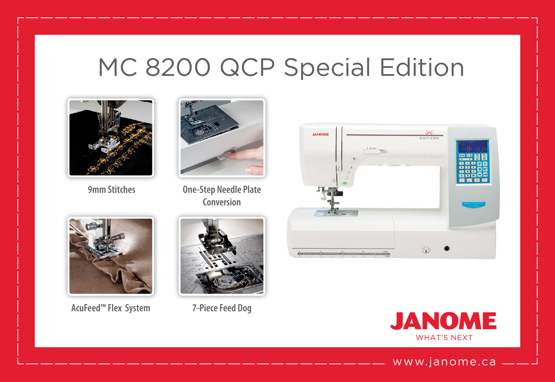# MC 8200 QCP Special Edition



 **9mm Stitches**



**One-Step Needle Plate Conversion**



**AcuFeed™ Flex System**



**7-Piece Feed Dog** 





www.janome.ca